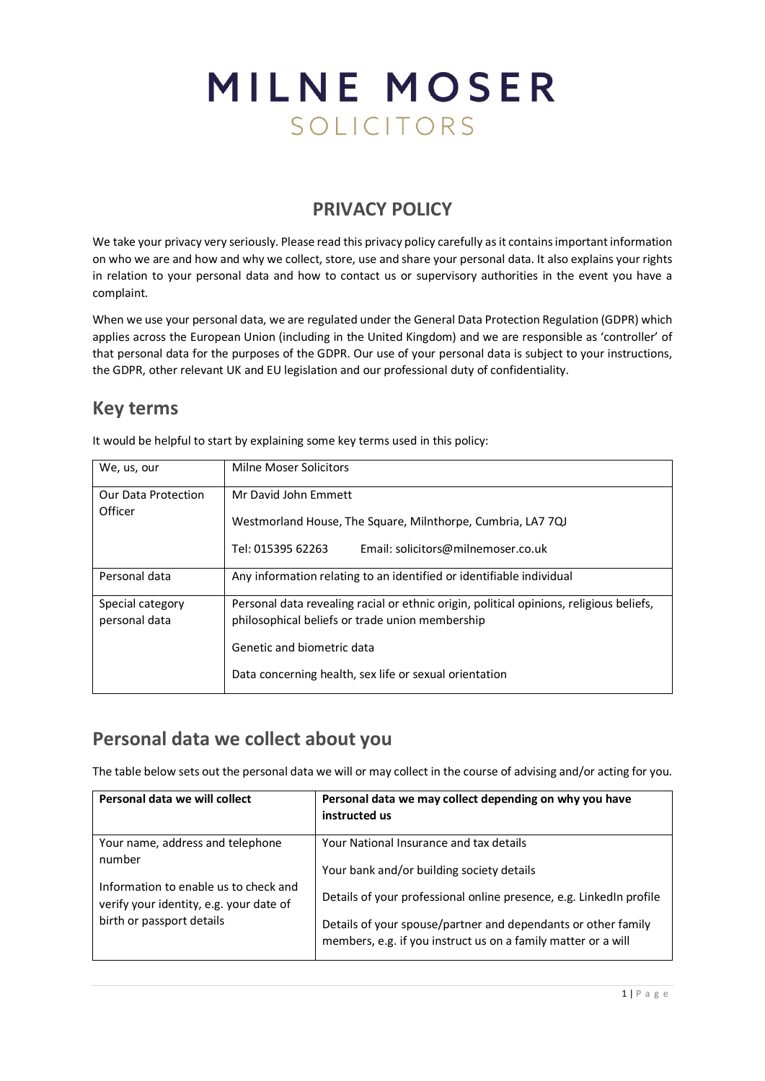# MILNE MOSER SOLICITORS

## **PRIVACY POLICY**

We take your privacy very seriously. Please read this privacy policy carefully as it contains important information on who we are and how and why we collect, store, use and share your personal data. It also explains your rights in relation to your personal data and how to contact us or supervisory authorities in the event you have a complaint.

When we use your personal data, we are regulated under the General Data Protection Regulation (GDPR) which applies across the European Union (including in the United Kingdom) and we are responsible as 'controller' of that personal data for the purposes of the GDPR. Our use of your personal data is subject to your instructions, the GDPR, other relevant UK and EU legislation and our professional duty of confidentiality.

## **Key terms**

It would be helpful to start by explaining some key terms used in this policy:

| We, us, our                    | Milne Moser Solicitors                                                                                                 |
|--------------------------------|------------------------------------------------------------------------------------------------------------------------|
| Our Data Protection<br>Officer | Mr David John Fmmett                                                                                                   |
|                                | Westmorland House, The Square, Milnthorpe, Cumbria, LA7 7QJ<br>Tel: 015395 62263<br>Email: solicitors@milnemoser.co.uk |
|                                |                                                                                                                        |
| Personal data                  | Any information relating to an identified or identifiable individual                                                   |
| Special category               | Personal data revealing racial or ethnic origin, political opinions, religious beliefs,                                |
| personal data                  | philosophical beliefs or trade union membership                                                                        |
|                                | Genetic and biometric data                                                                                             |
|                                | Data concerning health, sex life or sexual orientation                                                                 |

## **Personal data we collect about you**

The table below sets out the personal data we will or may collect in the course of advising and/or acting for you.

| Personal data we will collect                                                    | Personal data we may collect depending on why you have<br>instructed us                                                        |
|----------------------------------------------------------------------------------|--------------------------------------------------------------------------------------------------------------------------------|
| Your name, address and telephone<br>number                                       | Your National Insurance and tax details<br>Your bank and/or building society details                                           |
| Information to enable us to check and<br>verify your identity, e.g. your date of | Details of your professional online presence, e.g. LinkedIn profile                                                            |
| birth or passport details                                                        | Details of your spouse/partner and dependants or other family<br>members, e.g. if you instruct us on a family matter or a will |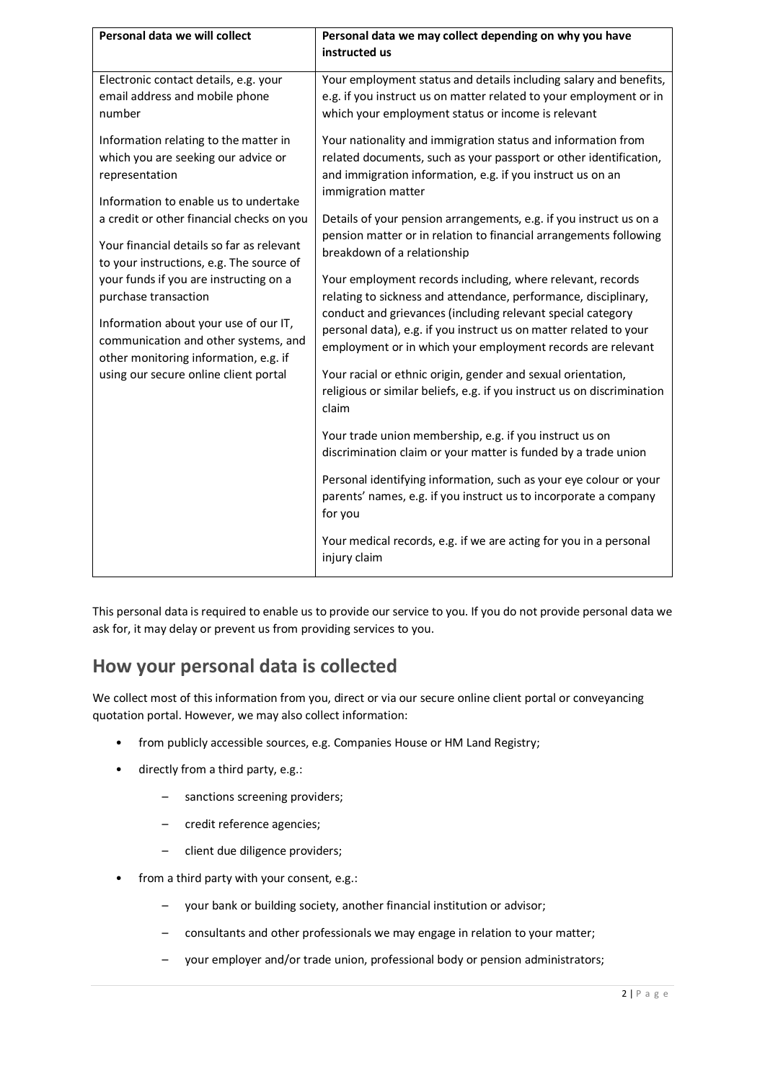| Personal data we will collect                                                                                                                                                                                                     | Personal data we may collect depending on why you have<br>instructed us                                                                                                                                                                                                                                                                                                                                                                                                     |
|-----------------------------------------------------------------------------------------------------------------------------------------------------------------------------------------------------------------------------------|-----------------------------------------------------------------------------------------------------------------------------------------------------------------------------------------------------------------------------------------------------------------------------------------------------------------------------------------------------------------------------------------------------------------------------------------------------------------------------|
| Electronic contact details, e.g. your<br>email address and mobile phone<br>number                                                                                                                                                 | Your employment status and details including salary and benefits,<br>e.g. if you instruct us on matter related to your employment or in<br>which your employment status or income is relevant                                                                                                                                                                                                                                                                               |
| Information relating to the matter in<br>which you are seeking our advice or<br>representation<br>Information to enable us to undertake                                                                                           | Your nationality and immigration status and information from<br>related documents, such as your passport or other identification,<br>and immigration information, e.g. if you instruct us on an<br>immigration matter                                                                                                                                                                                                                                                       |
| a credit or other financial checks on you<br>Your financial details so far as relevant<br>to your instructions, e.g. The source of                                                                                                | Details of your pension arrangements, e.g. if you instruct us on a<br>pension matter or in relation to financial arrangements following<br>breakdown of a relationship                                                                                                                                                                                                                                                                                                      |
| your funds if you are instructing on a<br>purchase transaction<br>Information about your use of our IT,<br>communication and other systems, and<br>other monitoring information, e.g. if<br>using our secure online client portal | Your employment records including, where relevant, records<br>relating to sickness and attendance, performance, disciplinary,<br>conduct and grievances (including relevant special category<br>personal data), e.g. if you instruct us on matter related to your<br>employment or in which your employment records are relevant<br>Your racial or ethnic origin, gender and sexual orientation,<br>religious or similar beliefs, e.g. if you instruct us on discrimination |
|                                                                                                                                                                                                                                   | claim<br>Your trade union membership, e.g. if you instruct us on<br>discrimination claim or your matter is funded by a trade union                                                                                                                                                                                                                                                                                                                                          |
|                                                                                                                                                                                                                                   | Personal identifying information, such as your eye colour or your<br>parents' names, e.g. if you instruct us to incorporate a company<br>for you                                                                                                                                                                                                                                                                                                                            |
|                                                                                                                                                                                                                                   | Your medical records, e.g. if we are acting for you in a personal<br>injury claim                                                                                                                                                                                                                                                                                                                                                                                           |

This personal data is required to enable us to provide our service to you. If you do not provide personal data we ask for, it may delay or prevent us from providing services to you.

## **How your personal data is collected**

We collect most of this information from you, direct or via our secure online client portal or conveyancing quotation portal. However, we may also collect information:

- from publicly accessible sources, e.g. Companies House or HM Land Registry;
- directly from a third party, e.g.:
	- sanctions screening providers;
	- credit reference agencies;
	- client due diligence providers;
- from a third party with your consent, e.g.:
	- your bank or building society, another financial institution or advisor;
	- consultants and other professionals we may engage in relation to your matter;
	- your employer and/or trade union, professional body or pension administrators;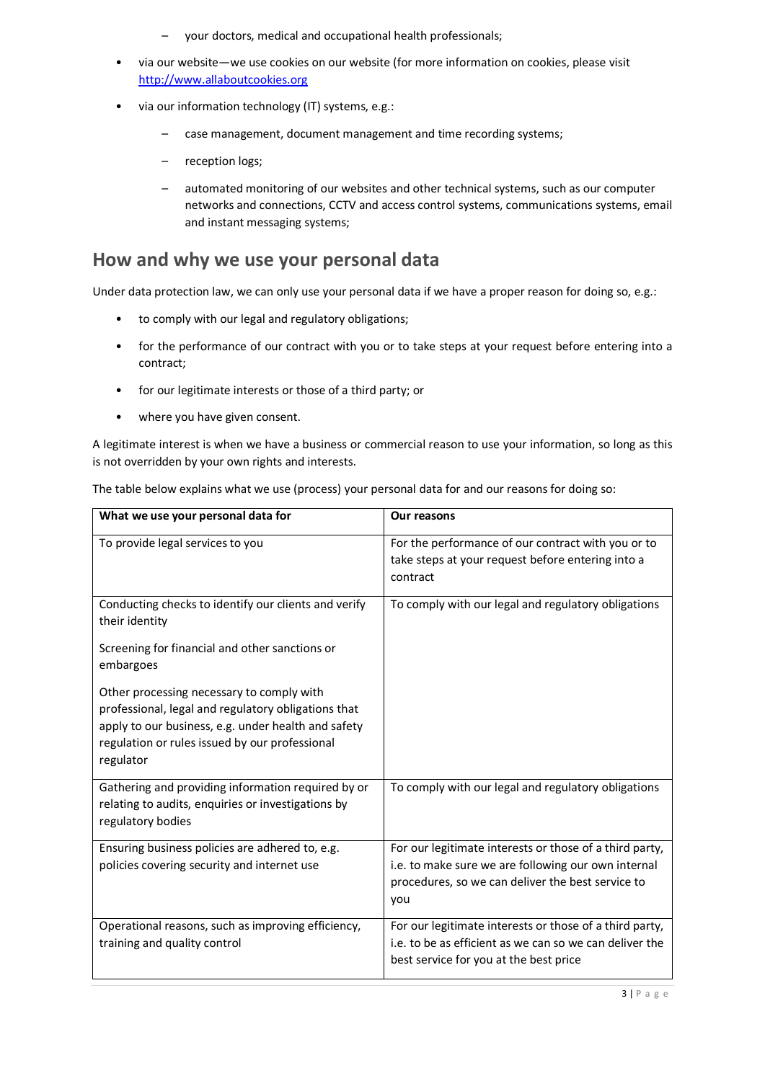- your doctors, medical and occupational health professionals;
- via our website—we use cookies on our website (for more information on cookies, please visit [http://www.allaboutcookies.org](http://www.allaboutcookies.org/)
- via our information technology (IT) systems, e.g.:
	- case management, document management and time recording systems;
	- reception logs;
	- automated monitoring of our websites and other technical systems, such as our computer networks and connections, CCTV and access control systems, communications systems, email and instant messaging systems;

#### **How and why we use your personal data**

Under data protection law, we can only use your personal data if we have a proper reason for doing so, e.g.:

- to comply with our legal and regulatory obligations;
- for the performance of our contract with you or to take steps at your request before entering into a contract;
- for our legitimate interests or those of a third party; or
- where you have given consent.

A legitimate interest is when we have a business or commercial reason to use your information, so long as this is not overridden by your own rights and interests.

| What we use your personal data for                                                                                                                                                                                     | <b>Our reasons</b>                                                                                                                                                         |
|------------------------------------------------------------------------------------------------------------------------------------------------------------------------------------------------------------------------|----------------------------------------------------------------------------------------------------------------------------------------------------------------------------|
| To provide legal services to you                                                                                                                                                                                       | For the performance of our contract with you or to<br>take steps at your request before entering into a<br>contract                                                        |
| Conducting checks to identify our clients and verify<br>their identity                                                                                                                                                 | To comply with our legal and regulatory obligations                                                                                                                        |
| Screening for financial and other sanctions or<br>embargoes                                                                                                                                                            |                                                                                                                                                                            |
| Other processing necessary to comply with<br>professional, legal and regulatory obligations that<br>apply to our business, e.g. under health and safety<br>regulation or rules issued by our professional<br>regulator |                                                                                                                                                                            |
| Gathering and providing information required by or<br>relating to audits, enquiries or investigations by<br>regulatory bodies                                                                                          | To comply with our legal and regulatory obligations                                                                                                                        |
| Ensuring business policies are adhered to, e.g.<br>policies covering security and internet use                                                                                                                         | For our legitimate interests or those of a third party,<br>i.e. to make sure we are following our own internal<br>procedures, so we can deliver the best service to<br>you |
| Operational reasons, such as improving efficiency,<br>training and quality control                                                                                                                                     | For our legitimate interests or those of a third party,<br>i.e. to be as efficient as we can so we can deliver the<br>best service for you at the best price               |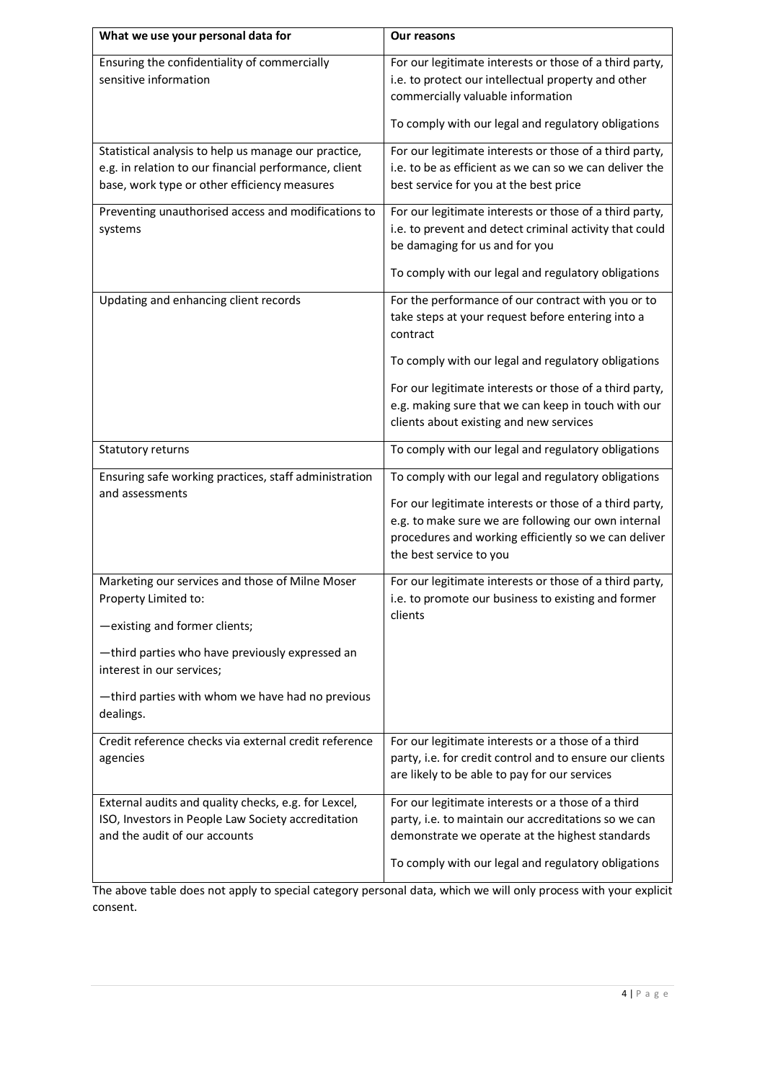| What we use your personal data for                                                                                                                            | Our reasons                                                                                                                                                                                       |
|---------------------------------------------------------------------------------------------------------------------------------------------------------------|---------------------------------------------------------------------------------------------------------------------------------------------------------------------------------------------------|
| Ensuring the confidentiality of commercially<br>sensitive information                                                                                         | For our legitimate interests or those of a third party,<br>i.e. to protect our intellectual property and other<br>commercially valuable information                                               |
|                                                                                                                                                               | To comply with our legal and regulatory obligations                                                                                                                                               |
| Statistical analysis to help us manage our practice,<br>e.g. in relation to our financial performance, client<br>base, work type or other efficiency measures | For our legitimate interests or those of a third party,<br>i.e. to be as efficient as we can so we can deliver the<br>best service for you at the best price                                      |
| Preventing unauthorised access and modifications to<br>systems                                                                                                | For our legitimate interests or those of a third party,<br>i.e. to prevent and detect criminal activity that could<br>be damaging for us and for you                                              |
|                                                                                                                                                               | To comply with our legal and regulatory obligations                                                                                                                                               |
| Updating and enhancing client records                                                                                                                         | For the performance of our contract with you or to<br>take steps at your request before entering into a<br>contract                                                                               |
|                                                                                                                                                               | To comply with our legal and regulatory obligations                                                                                                                                               |
|                                                                                                                                                               | For our legitimate interests or those of a third party,<br>e.g. making sure that we can keep in touch with our<br>clients about existing and new services                                         |
| Statutory returns                                                                                                                                             | To comply with our legal and regulatory obligations                                                                                                                                               |
| Ensuring safe working practices, staff administration<br>and assessments                                                                                      | To comply with our legal and regulatory obligations                                                                                                                                               |
|                                                                                                                                                               | For our legitimate interests or those of a third party,<br>e.g. to make sure we are following our own internal<br>procedures and working efficiently so we can deliver<br>the best service to you |
| Marketing our services and those of Milne Moser<br>Property Limited to:                                                                                       | For our legitimate interests or those of a third party,<br>i.e. to promote our business to existing and former                                                                                    |
| -existing and former clients;                                                                                                                                 | clients                                                                                                                                                                                           |
| -third parties who have previously expressed an<br>interest in our services;                                                                                  |                                                                                                                                                                                                   |
| -third parties with whom we have had no previous<br>dealings.                                                                                                 |                                                                                                                                                                                                   |
| Credit reference checks via external credit reference<br>agencies                                                                                             | For our legitimate interests or a those of a third<br>party, i.e. for credit control and to ensure our clients<br>are likely to be able to pay for our services                                   |
| External audits and quality checks, e.g. for Lexcel,<br>ISO, Investors in People Law Society accreditation<br>and the audit of our accounts                   | For our legitimate interests or a those of a third<br>party, i.e. to maintain our accreditations so we can<br>demonstrate we operate at the highest standards                                     |
|                                                                                                                                                               | To comply with our legal and regulatory obligations                                                                                                                                               |

The above table does not apply to special category personal data, which we will only process with your explicit consent.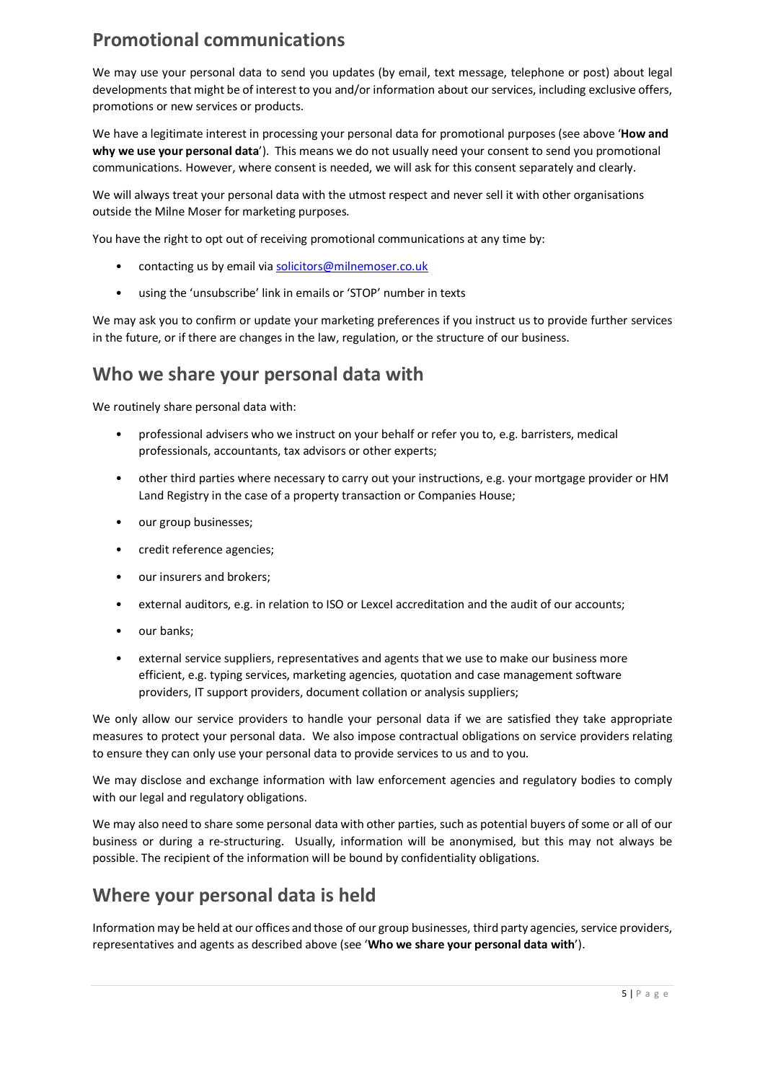## **Promotional communications**

We may use your personal data to send you updates (by email, text message, telephone or post) about legal developments that might be of interest to you and/or information about our services, including exclusive offers, promotions or new services or products.

We have a legitimate interest in processing your personal data for promotional purposes (see above '**How and why we use your personal data**'). This means we do not usually need your consent to send you promotional communications. However, where consent is needed, we will ask for this consent separately and clearly.

We will always treat your personal data with the utmost respect and never sell it with other organisations outside the Milne Moser for marketing purposes.

You have the right to opt out of receiving promotional communications at any time by:

- contacting us by email via [solicitors@milnemoser.co.uk](mailto:solicitors@milnemoser.co.uk)
- using the 'unsubscribe' link in emails or 'STOP' number in texts

We may ask you to confirm or update your marketing preferences if you instruct us to provide further services in the future, or if there are changes in the law, regulation, or the structure of our business.

#### **Who we share your personal data with**

We routinely share personal data with:

- professional advisers who we instruct on your behalf or refer you to, e.g. barristers, medical professionals, accountants, tax advisors or other experts;
- other third parties where necessary to carry out your instructions, e.g. your mortgage provider or HM Land Registry in the case of a property transaction or Companies House;
- our group businesses;
- credit reference agencies;
- our insurers and brokers;
- external auditors, e.g. in relation to ISO or Lexcel accreditation and the audit of our accounts;
- our banks;
- external service suppliers, representatives and agents that we use to make our business more efficient, e.g. typing services, marketing agencies, quotation and case management software providers, IT support providers, document collation or analysis suppliers;

We only allow our service providers to handle your personal data if we are satisfied they take appropriate measures to protect your personal data. We also impose contractual obligations on service providers relating to ensure they can only use your personal data to provide services to us and to you.

We may disclose and exchange information with law enforcement agencies and regulatory bodies to comply with our legal and regulatory obligations.

We may also need to share some personal data with other parties, such as potential buyers of some or all of our business or during a re-structuring. Usually, information will be anonymised, but this may not always be possible. The recipient of the information will be bound by confidentiality obligations.

## **Where your personal data is held**

Information may be held at our offices and those of our group businesses, third party agencies, service providers, representatives and agents as described above (see '**Who we share your personal data with**').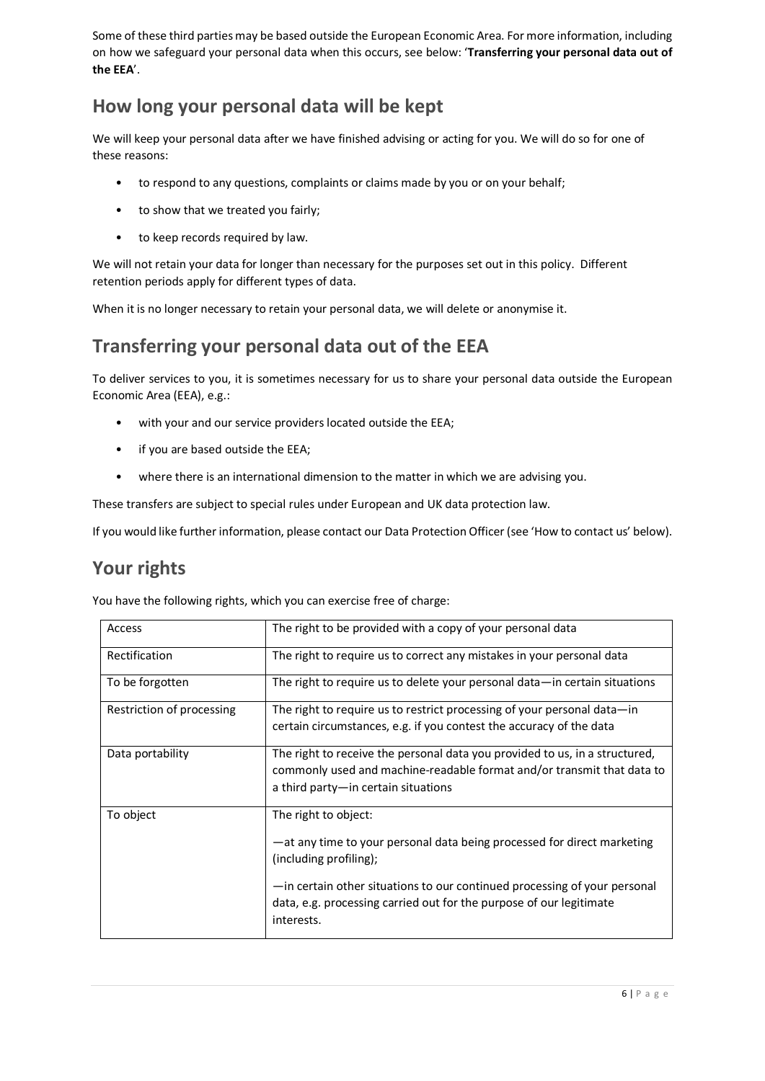Some of these third parties may be based outside the European Economic Area. For more information, including on how we safeguard your personal data when this occurs, see below: '**Transferring your personal data out of the EEA**'.

## **How long your personal data will be kept**

We will keep your personal data after we have finished advising or acting for you. We will do so for one of these reasons:

- to respond to any questions, complaints or claims made by you or on your behalf;
- to show that we treated you fairly;
- to keep records required by law.

We will not retain your data for longer than necessary for the purposes set out in this policy. Different retention periods apply for different types of data.

When it is no longer necessary to retain your personal data, we will delete or anonymise it.

#### **Transferring your personal data out of the EEA**

To deliver services to you, it is sometimes necessary for us to share your personal data outside the European Economic Area (EEA), e.g.:

- with your and our service providers located outside the EEA;
- if you are based outside the EEA;
- where there is an international dimension to the matter in which we are advising you.

These transfers are subject to special rules under European and UK data protection law.

If you would like further information, please contact our Data Protection Officer (see 'How to contact us' below).

#### **Your rights**

You have the following rights, which you can exercise free of charge:

| Access                    | The right to be provided with a copy of your personal data                  |
|---------------------------|-----------------------------------------------------------------------------|
| Rectification             | The right to require us to correct any mistakes in your personal data       |
| To be forgotten           | The right to require us to delete your personal data—in certain situations  |
| Restriction of processing | The right to require us to restrict processing of your personal data—in     |
|                           | certain circumstances, e.g. if you contest the accuracy of the data         |
| Data portability          | The right to receive the personal data you provided to us, in a structured, |
|                           | commonly used and machine-readable format and/or transmit that data to      |
|                           | a third party—in certain situations                                         |
|                           |                                                                             |
| To object                 | The right to object:                                                        |
|                           | —at any time to your personal data being processed for direct marketing     |
|                           | (including profiling);                                                      |
|                           | -in certain other situations to our continued processing of your personal   |
|                           | data, e.g. processing carried out for the purpose of our legitimate         |
|                           | interests.                                                                  |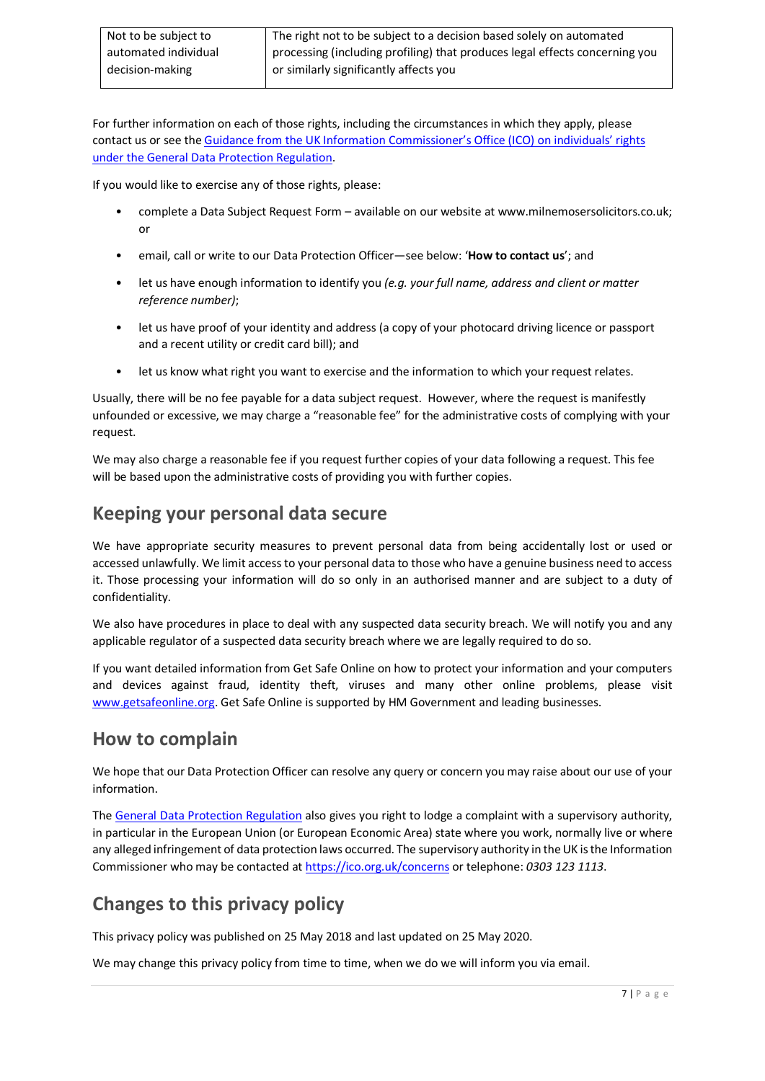| Not to be subject to | The right not to be subject to a decision based solely on automated         |
|----------------------|-----------------------------------------------------------------------------|
| automated individual | processing (including profiling) that produces legal effects concerning you |
| decision-making      | or similarly significantly affects you                                      |

For further information on each of those rights, including the circumstances in which they apply, please contact us or see th[e Guidance from the UK Information Commissioner's Office \(ICO\) on individuals' rights](http://ico.org.uk/for-organisations/guide-to-the-general-data-protection-regulation-gdpr/individual-rights/)  [under the General Data Protection Regulation.](http://ico.org.uk/for-organisations/guide-to-the-general-data-protection-regulation-gdpr/individual-rights/)

If you would like to exercise any of those rights, please:

- complete a Data Subject Request Form available on our website at www.milnemosersolicitors.co.uk; or
- email, call or write to our Data Protection Officer—see below: '**How to contact us**'; and
- let us have enough information to identify you *(e.g. your full name, address and client or matter reference number)*;
- let us have proof of your identity and address (a copy of your photocard driving licence or passport and a recent utility or credit card bill); and
- let us know what right you want to exercise and the information to which your request relates.

Usually, there will be no fee payable for a data subject request. However, where the request is manifestly unfounded or excessive, we may charge a "reasonable fee" for the administrative costs of complying with your request.

We may also charge a reasonable fee if you request further copies of your data following a request. This fee will be based upon the administrative costs of providing you with further copies.

#### **Keeping your personal data secure**

We have appropriate security measures to prevent personal data from being accidentally lost or used or accessed unlawfully. We limit access to your personal data to those who have a genuine business need to access it. Those processing your information will do so only in an authorised manner and are subject to a duty of confidentiality.

We also have procedures in place to deal with any suspected data security breach. We will notify you and any applicable regulator of a suspected data security breach where we are legally required to do so.

If you want detailed information from Get Safe Online on how to protect your information and your computers and devices against fraud, identity theft, viruses and many other online problems, please visit [www.getsafeonline.org.](http://www.getsafeonline.org/) Get Safe Online is supported by HM Government and leading businesses.

#### **How to complain**

We hope that our Data Protection Officer can resolve any query or concern you may raise about our use of your information.

Th[e General Data Protection Regulation](http://eur-lex.europa.eu/legal-content/EN/TXT/PDF/?uri=CELEX:32016R0679&from=EN) also gives you right to lodge a complaint with a supervisory authority, in particular in the European Union (or European Economic Area) state where you work, normally live or where any alleged infringement of data protection laws occurred. The supervisory authority in the UK is the Information Commissioner who may be contacted a[t https://ico.org.uk/concerns](http://ico.org.uk/concerns/) or telephone: *0303 123 1113*.

## **Changes to this privacy policy**

This privacy policy was published on 25 May 2018 and last updated on 25 May 2020.

We may change this privacy policy from time to time, when we do we will inform you via email.